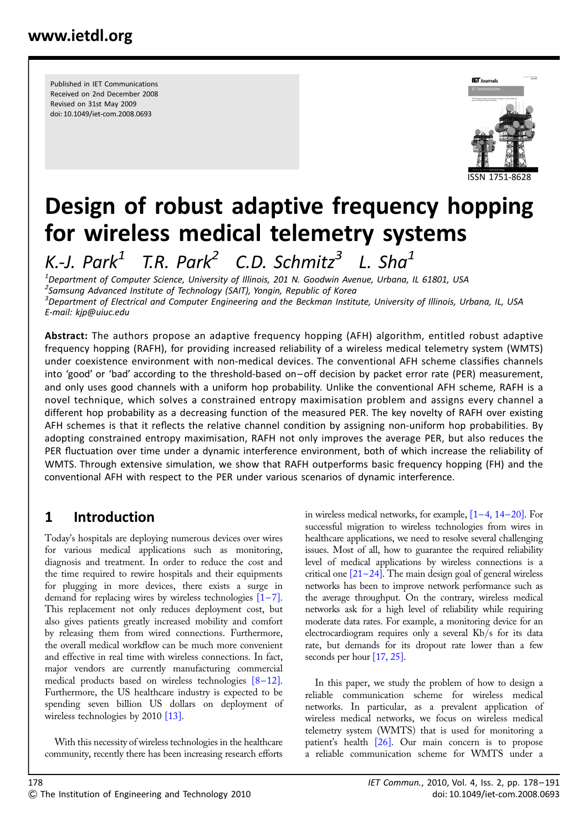Published in IET Communications Received on 2nd December 2008 Revised on 31st May 2009 doi: 10.1049/iet-com.2008.0693



# Design of robust adaptive frequency hopping for wireless medical telemetry systems

K.-J. Park<sup>1</sup> T.R. Park<sup>2</sup> C.D. Schmitz<sup>3</sup> L. Sha<sup>1</sup>

 $^{\text{1}}$ Department of Computer Science, University of Illinois, 201 N. Goodwin Avenue, Urbana, IL 61801, USA <sup>2</sup>Samsung Advanced Institute of Technology (SAIT), Yongin, Republic of Korea <sup>3</sup>Department of Electrical and Computer Engineering and the Beckman Institute, University of Illinois, Urbana, IL, USA E-mail: kjp@uiuc.edu

Abstract: The authors propose an adaptive frequency hopping (AFH) algorithm, entitled robust adaptive frequency hopping (RAFH), for providing increased reliability of a wireless medical telemetry system (WMTS) under coexistence environment with non-medical devices. The conventional AFH scheme classifies channels into 'good' or 'bad' according to the threshold-based on–off decision by packet error rate (PER) measurement, and only uses good channels with a uniform hop probability. Unlike the conventional AFH scheme, RAFH is a novel technique, which solves a constrained entropy maximisation problem and assigns every channel a different hop probability as a decreasing function of the measured PER. The key novelty of RAFH over existing AFH schemes is that it reflects the relative channel condition by assigning non-uniform hop probabilities. By adopting constrained entropy maximisation, RAFH not only improves the average PER, but also reduces the PER fluctuation over time under a dynamic interference environment, both of which increase the reliability of WMTS. Through extensive simulation, we show that RAFH outperforms basic frequency hopping (FH) and the conventional AFH with respect to the PER under various scenarios of dynamic interference.

### 1 Introduction

Today's hospitals are deploying numerous devices over wires for various medical applications such as monitoring, diagnosis and treatment. In order to reduce the cost and the time required to rewire hospitals and their equipments for plugging in more devices, there exists a surge in demand for replacing wires by wireless technologies  $[1-7]$ . This replacement not only reduces deployment cost, but also gives patients greatly increased mobility and comfort by releasing them from wired connections. Furthermore, the overall medical workflow can be much more convenient and effective in real time with wireless connections. In fact, major vendors are currently manufacturing commercial medical products based on wireless technologies  $[8-12]$ . Furthermore, the US healthcare industry is expected to be spending seven billion US dollars on deployment of wireless technologies by 2010 [13].

With this necessity of wireless technologies in the healthcare community, recently there has been increasing research efforts in wireless medical networks, for example, [1–4, 14–20]. For successful migration to wireless technologies from wires in healthcare applications, we need to resolve several challenging issues. Most of all, how to guarantee the required reliability level of medical applications by wireless connections is a critical one  $[21–24]$ . The main design goal of general wireless networks has been to improve network performance such as the average throughput. On the contrary, wireless medical networks ask for a high level of reliability while requiring moderate data rates. For example, a monitoring device for an electrocardiogram requires only a several Kb/s for its data rate, but demands for its dropout rate lower than a few seconds per hour [17, 25].

In this paper, we study the problem of how to design a reliable communication scheme for wireless medical networks. In particular, as a prevalent application of wireless medical networks, we focus on wireless medical telemetry system (WMTS) that is used for monitoring a patient's health [26]. Our main concern is to propose a reliable communication scheme for WMTS under a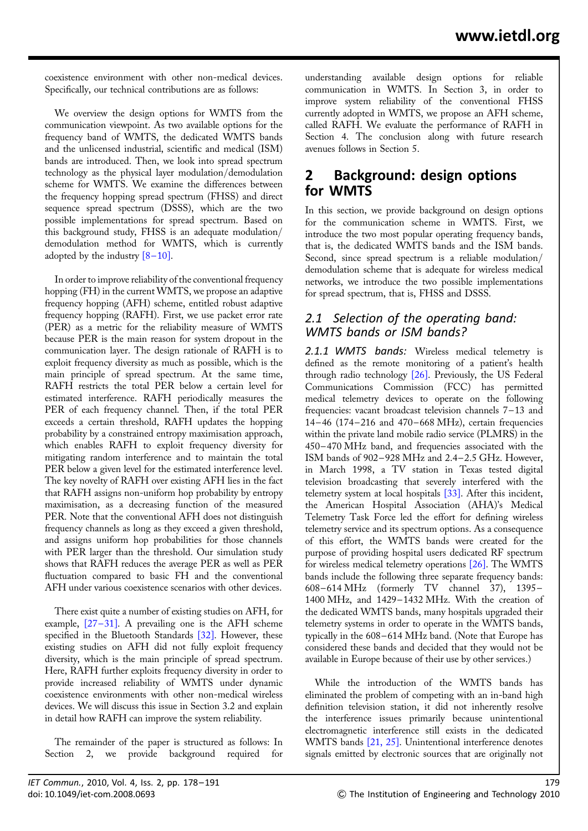coexistence environment with other non-medical devices. Specifically, our technical contributions are as follows:

We overview the design options for WMTS from the communication viewpoint. As two available options for the frequency band of WMTS, the dedicated WMTS bands and the unlicensed industrial, scientific and medical (ISM) bands are introduced. Then, we look into spread spectrum technology as the physical layer modulation/demodulation scheme for WMTS. We examine the differences between the frequency hopping spread spectrum (FHSS) and direct sequence spread spectrum (DSSS), which are the two possible implementations for spread spectrum. Based on this background study, FHSS is an adequate modulation/ demodulation method for WMTS, which is currently adopted by the industry  $[8-10]$ .

In order to improve reliability of the conventional frequency hopping (FH) in the current WMTS, we propose an adaptive frequency hopping (AFH) scheme, entitled robust adaptive frequency hopping (RAFH). First, we use packet error rate (PER) as a metric for the reliability measure of WMTS because PER is the main reason for system dropout in the communication layer. The design rationale of RAFH is to exploit frequency diversity as much as possible, which is the main principle of spread spectrum. At the same time, RAFH restricts the total PER below a certain level for estimated interference. RAFH periodically measures the PER of each frequency channel. Then, if the total PER exceeds a certain threshold, RAFH updates the hopping probability by a constrained entropy maximisation approach, which enables RAFH to exploit frequency diversity for mitigating random interference and to maintain the total PER below a given level for the estimated interference level. The key novelty of RAFH over existing AFH lies in the fact that RAFH assigns non-uniform hop probability by entropy maximisation, as a decreasing function of the measured PER. Note that the conventional AFH does not distinguish frequency channels as long as they exceed a given threshold, and assigns uniform hop probabilities for those channels with PER larger than the threshold. Our simulation study shows that RAFH reduces the average PER as well as PER fluctuation compared to basic FH and the conventional AFH under various coexistence scenarios with other devices.

There exist quite a number of existing studies on AFH, for example, [27-31]. A prevailing one is the AFH scheme specified in the Bluetooth Standards [32]. However, these existing studies on AFH did not fully exploit frequency diversity, which is the main principle of spread spectrum. Here, RAFH further exploits frequency diversity in order to provide increased reliability of WMTS under dynamic coexistence environments with other non-medical wireless devices. We will discuss this issue in Section 3.2 and explain in detail how RAFH can improve the system reliability.

The remainder of the paper is structured as follows: In Section 2, we provide background required for understanding available design options for reliable communication in WMTS. In Section 3, in order to improve system reliability of the conventional FHSS currently adopted in WMTS, we propose an AFH scheme, called RAFH. We evaluate the performance of RAFH in Section 4. The conclusion along with future research avenues follows in Section 5.

### 2 Background: design options for WMTS

In this section, we provide background on design options for the communication scheme in WMTS. First, we introduce the two most popular operating frequency bands, that is, the dedicated WMTS bands and the ISM bands. Second, since spread spectrum is a reliable modulation/ demodulation scheme that is adequate for wireless medical networks, we introduce the two possible implementations for spread spectrum, that is, FHSS and DSSS.

#### 2.1 Selection of the operating band: WMTS bands or ISM bands?

2.1.1 WMTS bands: Wireless medical telemetry is defined as the remote monitoring of a patient's health through radio technology [26]. Previously, the US Federal Communications Commission (FCC) has permitted medical telemetry devices to operate on the following frequencies: vacant broadcast television channels 7-13 and 14– 46 (174 – 216 and 470 – 668 MHz), certain frequencies within the private land mobile radio service (PLMRS) in the 450– 470 MHz band, and frequencies associated with the ISM bands of 902 – 928 MHz and 2.4– 2.5 GHz. However, in March 1998, a TV station in Texas tested digital television broadcasting that severely interfered with the telemetry system at local hospitals [33]. After this incident, the American Hospital Association (AHA)'s Medical Telemetry Task Force led the effort for defining wireless telemetry service and its spectrum options. As a consequence of this effort, the WMTS bands were created for the purpose of providing hospital users dedicated RF spectrum for wireless medical telemetry operations [26]. The WMTS bands include the following three separate frequency bands: 608– 614 MHz (formerly TV channel 37), 1395 – 1400 MHz, and 1429– 1432 MHz. With the creation of the dedicated WMTS bands, many hospitals upgraded their telemetry systems in order to operate in the WMTS bands, typically in the 608– 614 MHz band. (Note that Europe has considered these bands and decided that they would not be available in Europe because of their use by other services.)

While the introduction of the WMTS bands has eliminated the problem of competing with an in-band high definition television station, it did not inherently resolve the interference issues primarily because unintentional electromagnetic interference still exists in the dedicated WMTS bands [21, 25]. Unintentional interference denotes signals emitted by electronic sources that are originally not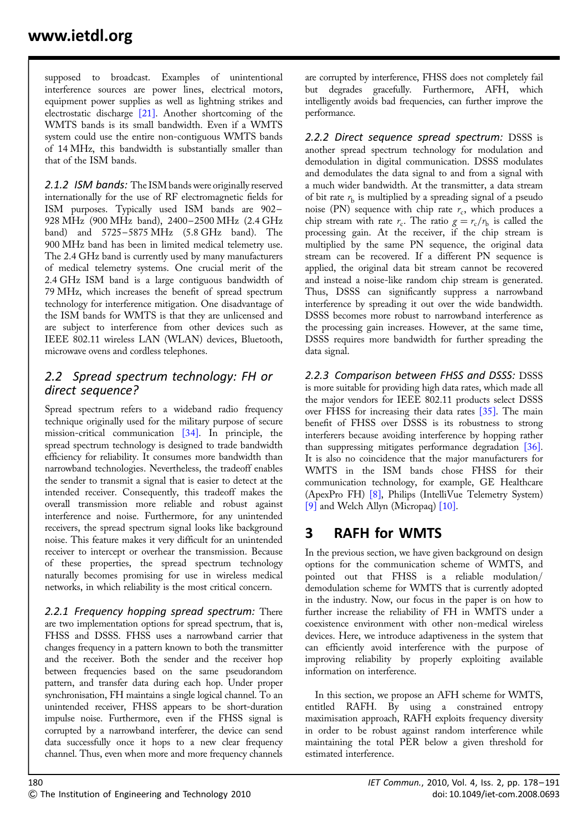supposed to broadcast. Examples of unintentional interference sources are power lines, electrical motors, equipment power supplies as well as lightning strikes and electrostatic discharge [21]. Another shortcoming of the WMTS bands is its small bandwidth. Even if a WMTS system could use the entire non-contiguous WMTS bands of 14 MHz, this bandwidth is substantially smaller than that of the ISM bands.

2.1.2 ISM bands: The ISM bands were originally reserved internationally for the use of RF electromagnetic fields for ISM purposes. Typically used ISM bands are 902 – 928 MHz (900 MHz band), 2400 – 2500 MHz (2.4 GHz band) and 5725-5875 MHz (5.8 GHz band). The 900 MHz band has been in limited medical telemetry use. The 2.4 GHz band is currently used by many manufacturers of medical telemetry systems. One crucial merit of the 2.4 GHz ISM band is a large contiguous bandwidth of 79 MHz, which increases the benefit of spread spectrum technology for interference mitigation. One disadvantage of the ISM bands for WMTS is that they are unlicensed and are subject to interference from other devices such as IEEE 802.11 wireless LAN (WLAN) devices, Bluetooth, microwave ovens and cordless telephones.

#### 2.2 Spread spectrum technology: FH or direct sequence?

Spread spectrum refers to a wideband radio frequency technique originally used for the military purpose of secure mission-critical communication [34]. In principle, the spread spectrum technology is designed to trade bandwidth efficiency for reliability. It consumes more bandwidth than narrowband technologies. Nevertheless, the tradeoff enables the sender to transmit a signal that is easier to detect at the intended receiver. Consequently, this tradeoff makes the overall transmission more reliable and robust against interference and noise. Furthermore, for any unintended receivers, the spread spectrum signal looks like background noise. This feature makes it very difficult for an unintended receiver to intercept or overhear the transmission. Because of these properties, the spread spectrum technology naturally becomes promising for use in wireless medical networks, in which reliability is the most critical concern.

2.2.1 Frequency hopping spread spectrum: There are two implementation options for spread spectrum, that is, FHSS and DSSS. FHSS uses a narrowband carrier that changes frequency in a pattern known to both the transmitter and the receiver. Both the sender and the receiver hop between frequencies based on the same pseudorandom pattern, and transfer data during each hop. Under proper synchronisation, FH maintains a single logical channel. To an unintended receiver, FHSS appears to be short-duration impulse noise. Furthermore, even if the FHSS signal is corrupted by a narrowband interferer, the device can send data successfully once it hops to a new clear frequency channel. Thus, even when more and more frequency channels

are corrupted by interference, FHSS does not completely fail but degrades gracefully. Furthermore, AFH, which intelligently avoids bad frequencies, can further improve the performance.

2.2.2 Direct sequence spread spectrum: DSSS is another spread spectrum technology for modulation and demodulation in digital communication. DSSS modulates and demodulates the data signal to and from a signal with a much wider bandwidth. At the transmitter, a data stream of bit rate  $r<sub>b</sub>$  is multiplied by a spreading signal of a pseudo noise (PN) sequence with chip rate  $r_c$ , which produces a chip stream with rate  $r_c$ . The ratio  $g = r_c/r_b$  is called the processing gain. At the receiver, if the chip stream is multiplied by the same PN sequence, the original data stream can be recovered. If a different PN sequence is applied, the original data bit stream cannot be recovered and instead a noise-like random chip stream is generated. Thus, DSSS can significantly suppress a narrowband interference by spreading it out over the wide bandwidth. DSSS becomes more robust to narrowband interference as the processing gain increases. However, at the same time, DSSS requires more bandwidth for further spreading the data signal.

2.2.3 Comparison between FHSS and DSSS: DSSS is more suitable for providing high data rates, which made all the major vendors for IEEE 802.11 products select DSSS over FHSS for increasing their data rates [35]. The main benefit of FHSS over DSSS is its robustness to strong interferers because avoiding interference by hopping rather than suppressing mitigates performance degradation [36]. It is also no coincidence that the major manufacturers for WMTS in the ISM bands chose FHSS for their communication technology, for example, GE Healthcare (ApexPro FH) [8], Philips (IntelliVue Telemetry System) [9] and Welch Allyn (Micropaq) [10].

# 3 RAFH for WMTS

In the previous section, we have given background on design options for the communication scheme of WMTS, and pointed out that FHSS is a reliable modulation/ demodulation scheme for WMTS that is currently adopted in the industry. Now, our focus in the paper is on how to further increase the reliability of FH in WMTS under a coexistence environment with other non-medical wireless devices. Here, we introduce adaptiveness in the system that can efficiently avoid interference with the purpose of improving reliability by properly exploiting available information on interference.

In this section, we propose an AFH scheme for WMTS, entitled RAFH. By using a constrained entropy maximisation approach, RAFH exploits frequency diversity in order to be robust against random interference while maintaining the total PER below a given threshold for estimated interference.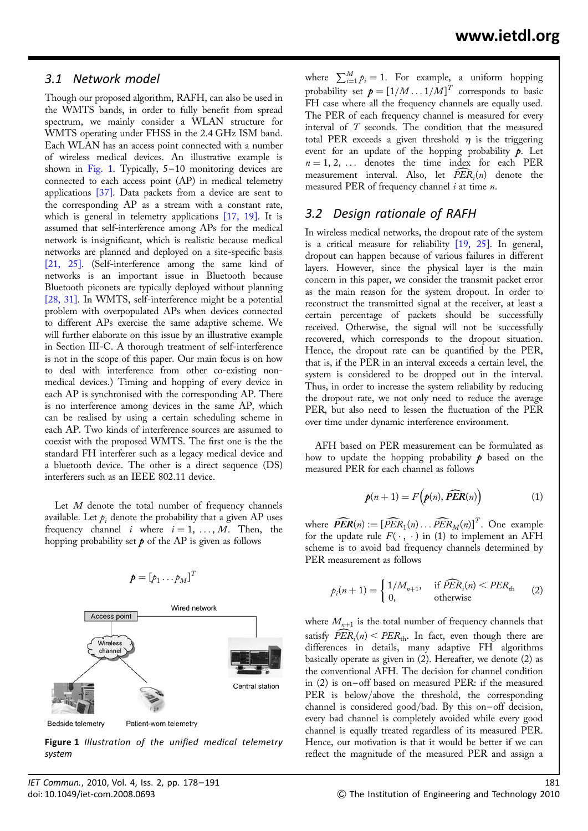#### 3.1 Network model

Though our proposed algorithm, RAFH, can also be used in the WMTS bands, in order to fully benefit from spread spectrum, we mainly consider a WLAN structure for WMTS operating under FHSS in the 2.4 GHz ISM band. Each WLAN has an access point connected with a number of wireless medical devices. An illustrative example is shown in Fig. 1. Typically,  $5-10$  monitoring devices are connected to each access point (AP) in medical telemetry applications [37]. Data packets from a device are sent to the corresponding AP as a stream with a constant rate, which is general in telemetry applications [17, 19]. It is assumed that self-interference among APs for the medical network is insignificant, which is realistic because medical networks are planned and deployed on a site-specific basis [21, 25]. (Self-interference among the same kind of networks is an important issue in Bluetooth because Bluetooth piconets are typically deployed without planning [28, 31]. In WMTS, self-interference might be a potential problem with overpopulated APs when devices connected to different APs exercise the same adaptive scheme. We will further elaborate on this issue by an illustrative example in Section III-C. A thorough treatment of self-interference is not in the scope of this paper. Our main focus is on how to deal with interference from other co-existing nonmedical devices.) Timing and hopping of every device in each AP is synchronised with the corresponding AP. There is no interference among devices in the same AP, which can be realised by using a certain scheduling scheme in each AP. Two kinds of interference sources are assumed to coexist with the proposed WMTS. The first one is the the standard FH interferer such as a legacy medical device and a bluetooth device. The other is a direct sequence (DS) interferers such as an IEEE 802.11 device.

Let  $M$  denote the total number of frequency channels available. Let  $p_i$  denote the probability that a given AP uses frequency channel i where  $i = 1, ..., M$ . Then, the hopping probability set  $p$  of the AP is given as follows



 $\boldsymbol{p} = \left[p_1 \dots p_M \right]^T$ 

**Bedside telemetry** 

Figure 1 Illustration of the unified medical telemetry system

Patient-worn telemetry

where  $\sum_{i=1}^{M} p_i = 1$ . For example, a uniform hopping probability set  $\pmb{p} = \left[1/M \dots 1/M\right]^T$  corresponds to basic FH case where all the frequency channels are equally used. The PER of each frequency channel is measured for every interval of T seconds. The condition that the measured total PER exceeds a given threshold  $\eta$  is the triggering event for an update of the hopping probability  $p$ . Let  $n = 1, 2, \ldots$  denotes the time index for each PER measurement interval. Also, let  $\widehat{PER}_{n}(n)$  denote the measured PER of frequency channel  $i$  at time  $n$ .

#### 3.2 Design rationale of RAFH

In wireless medical networks, the dropout rate of the system is a critical measure for reliability  $\left[19, 25\right]$ . In general, dropout can happen because of various failures in different layers. However, since the physical layer is the main concern in this paper, we consider the transmit packet error as the main reason for the system dropout. In order to reconstruct the transmitted signal at the receiver, at least a certain percentage of packets should be successfully received. Otherwise, the signal will not be successfully recovered, which corresponds to the dropout situation. Hence, the dropout rate can be quantified by the PER, that is, if the PER in an interval exceeds a certain level, the system is considered to be dropped out in the interval. Thus, in order to increase the system reliability by reducing the dropout rate, we not only need to reduce the average PER, but also need to lessen the fluctuation of the PER over time under dynamic interference environment.

AFH based on PER measurement can be formulated as how to update the hopping probability  $p$  based on the measured PER for each channel as follows

$$
\boldsymbol{p}(n+1) = F\big(\boldsymbol{p}(n), \widehat{\boldsymbol{PER}}(n)\big) \tag{1}
$$

where  $\widehat{PER}(n) := [\widehat{PER}_1(n) \dots \widehat{PER}_M(n)]^T$ . One example for the update rule  $F(\cdot, \cdot)$  in (1) to implement an AFH scheme is to avoid bad frequency channels determined by PER measurement as follows

$$
p_i(n+1) = \begin{cases} 1/M_{n+1}, & \text{if } \widehat{PER}_i(n) < PER_{\text{th}}\\ 0, & \text{otherwise} \end{cases} \tag{2}
$$

where  $M_{n+1}$  is the total number of frequency channels that satisfy  $\widehat{PER}_{i}(n) < PER_{th}$ . In fact, even though there are differences in details, many adaptive FH algorithms basically operate as given in (2). Hereafter, we denote (2) as the conventional AFH. The decision for channel condition in (2) is on –off based on measured PER: if the measured PER is below/above the threshold, the corresponding channel is considered good/bad. By this on-off decision, every bad channel is completely avoided while every good channel is equally treated regardless of its measured PER. Hence, our motivation is that it would be better if we can reflect the magnitude of the measured PER and assign a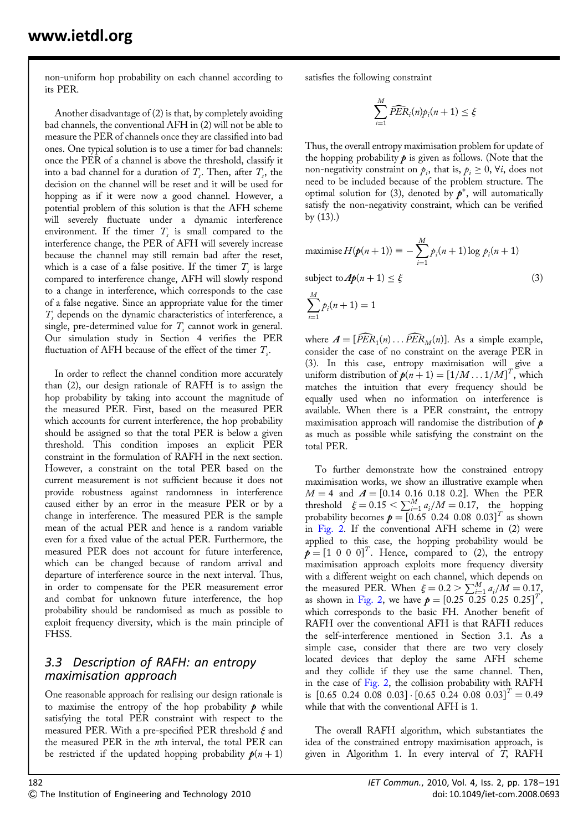non-uniform hop probability on each channel according to its PER.

Another disadvantage of (2) is that, by completely avoiding bad channels, the conventional AFH in (2) will not be able to measure the PER of channels once they are classified into bad ones. One typical solution is to use a timer for bad channels: once the PER of a channel is above the threshold, classify it into a bad channel for a duration of  $T_s$ . Then, after  $T_s$ , the decision on the channel will be reset and it will be used for hopping as if it were now a good channel. However, a potential problem of this solution is that the AFH scheme will severely fluctuate under a dynamic interference environment. If the timer  $T<sub>s</sub>$  is small compared to the interference change, the PER of AFH will severely increase because the channel may still remain bad after the reset, which is a case of a false positive. If the timer  $T_s$  is large compared to interference change, AFH will slowly respond to a change in interference, which corresponds to the case of a false negative. Since an appropriate value for the timer  $T<sub>s</sub>$  depends on the dynamic characteristics of interference, a single, pre-determined value for  $T_s$  cannot work in general. Our simulation study in Section 4 verifies the PER fluctuation of AFH because of the effect of the timer  $T_s$ .

In order to reflect the channel condition more accurately than (2), our design rationale of RAFH is to assign the hop probability by taking into account the magnitude of the measured PER. First, based on the measured PER which accounts for current interference, the hop probability should be assigned so that the total PER is below a given threshold. This condition imposes an explicit PER constraint in the formulation of RAFH in the next section. However, a constraint on the total PER based on the current measurement is not sufficient because it does not provide robustness against randomness in interference caused either by an error in the measure PER or by a change in interference. The measured PER is the sample mean of the actual PER and hence is a random variable even for a fixed value of the actual PER. Furthermore, the measured PER does not account for future interference, which can be changed because of random arrival and departure of interference source in the next interval. Thus, in order to compensate for the PER measurement error and combat for unknown future interference, the hop probability should be randomised as much as possible to exploit frequency diversity, which is the main principle of FHSS.

#### 3.3 Description of RAFH: an entropy maximisation approach

One reasonable approach for realising our design rationale is to maximise the entropy of the hop probability  $p$  while satisfying the total PER constraint with respect to the measured PER. With a pre-specified PER threshold  $\xi$  and the measured PER in the nth interval, the total PER can be restricted if the updated hopping probability  $p(n + 1)$  satisfies the following constraint

$$
\sum_{i=1}^{M} \widehat{PER}_{i}(n) p_{i}(n+1) \leq \xi
$$

Thus, the overall entropy maximisation problem for update of the hopping probability  $p$  is given as follows. (Note that the non-negativity constraint on  $p_i$ , that is,  $p_i \geq 0$ ,  $\forall i$ , does not need to be included because of the problem structure. The optimal solution for (3), denoted by  $p^*$ , will automatically satisfy the non-negativity constraint, which can be verified by (13).)

maximise 
$$
H(\mathbf{p}(n+1)) = -\sum_{i=1}^{M} p_i(n+1)\log p_i(n+1)
$$
  
\nsubject to  $A\mathbf{p}(n+1) \le \xi$  (3)  
\n
$$
\sum_{i=1}^{M} p_i(n+1) = 1
$$

where  $A = [\widehat{PER}_1(n) \dots \widehat{PER}_M(n)]$ . As a simple example, consider the case of no constraint on the average PER in (3). In this case, entropy maximisation will give a uniform distribution of  $p(n + 1) = [1/M \dots 1/M]^T$ , which matches the intuition that every frequency should be equally used when no information on interference is available. When there is a PER constraint, the entropy maximisation approach will randomise the distribution of  $p$ as much as possible while satisfying the constraint on the total PER.

To further demonstrate how the constrained entropy maximisation works, we show an illustrative example when  $M = 4$  and  $A = [0.14 \ 0.16 \ 0.18 \ 0.2]$ . When the PER threshold  $\xi = 0.15 < \sum_{i=1}^{M} a_i/M = 0.17$ , the hopping probability becomes  $p = [0.65 \ 0.24 \ 0.08 \ 0.03]^T$  as shown in Fig. 2. If the conventional AFH scheme in (2) were applied to this case, the hopping probability would be  $p = [1 \ 0 \ 0 \ 0]^T$ . Hence, compared to (2), the entropy maximisation approach exploits more frequency diversity with a different weight on each channel, which depends on the measured PER. When  $\xi = 0.2 > \sum_{i=1}^{M} a_i/M = 0.17$ , as shown in Fig. 2, we have  $p = [0.25 \ 0.25 \ 0.25 \ 0.25]^T$ , which corresponds to the basic FH. Another benefit of RAFH over the conventional AFH is that RAFH reduces the self-interference mentioned in Section 3.1. As a simple case, consider that there are two very closely located devices that deploy the same AFH scheme and they collide if they use the same channel. Then, in the case of Fig. 2, the collision probability with RAFH is  $[0.65 \t0.24 \t0.08 \t0.03] \cdot [0.65 \t0.24 \t0.08 \t0.03]^T = 0.49$ while that with the conventional AFH is 1.

The overall RAFH algorithm, which substantiates the idea of the constrained entropy maximisation approach, is given in Algorithm 1. In every interval of T, RAFH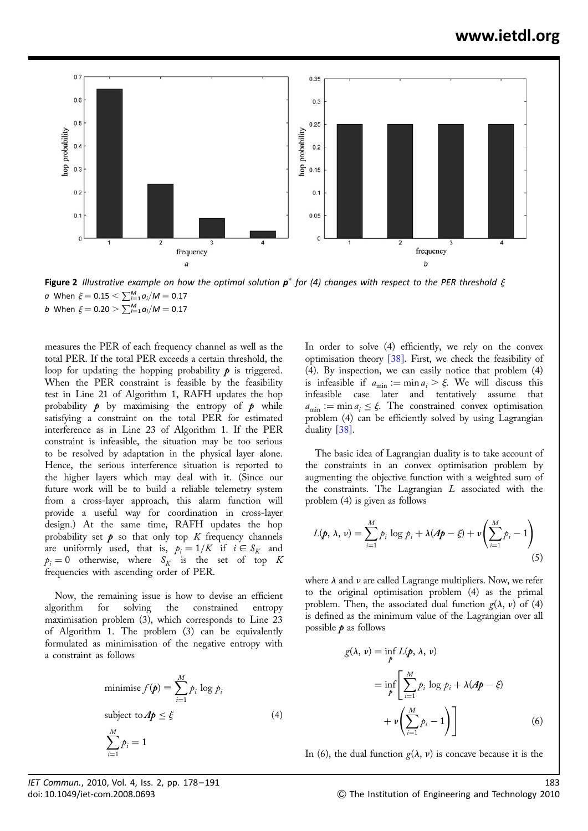

Figure 2 Illustrative example on how the optimal solution  $p^*$  for (4) changes with respect to the PER threshold  $\xi$ a When  $\xi = 0.15 < \sum_{i=1}^{M} a_i/M = 0.17$ b When  $\xi = 0.20 > \sum_{i=1}^{M} a_i/M = 0.17$ 

measures the PER of each frequency channel as well as the total PER. If the total PER exceeds a certain threshold, the loop for updating the hopping probability  $p$  is triggered. When the PER constraint is feasible by the feasibility test in Line 21 of Algorithm 1, RAFH updates the hop probability  $p$  by maximising the entropy of  $p$  while satisfying a constraint on the total PER for estimated interference as in Line 23 of Algorithm 1. If the PER constraint is infeasible, the situation may be too serious to be resolved by adaptation in the physical layer alone. Hence, the serious interference situation is reported to the higher layers which may deal with it. (Since our future work will be to build a reliable telemetry system from a cross-layer approach, this alarm function will provide a useful way for coordination in cross-layer design.) At the same time, RAFH updates the hop probability set  $\boldsymbol{p}$  so that only top K frequency channels are uniformly used, that is,  $p_i = 1/K$  if  $i \in S_K$  and  $p_i = 0$  otherwise, where  $S_K$  is the set of top K frequencies with ascending order of PER.

Now, the remaining issue is how to devise an efficient algorithm for solving the constrained entropy maximisation problem (3), which corresponds to Line 23 of Algorithm 1. The problem (3) can be equivalently formulated as minimisation of the negative entropy with a constraint as follows

minimise 
$$
f(\mathbf{p}) = \sum_{i=1}^{M} p_i \log p_i
$$
  
\nsubject to  $A\mathbf{p} \le \xi$  (4)  
\n
$$
\sum_{i=1}^{M} p_i = 1
$$

In order to solve (4) efficiently, we rely on the convex optimisation theory  $\sqrt{38}$ . First, we check the feasibility of (4). By inspection, we can easily notice that problem (4) is infeasible if  $a_{\min} := \min a_i > \xi$ . We will discuss this infeasible case later and tentatively assume that  $a_{\min} := \min a_i \leq \xi$ . The constrained convex optimisation problem (4) can be efficiently solved by using Lagrangian duality [38].

The basic idea of Lagrangian duality is to take account of the constraints in an convex optimisation problem by augmenting the objective function with a weighted sum of the constraints. The Lagrangian L associated with the problem (4) is given as follows

$$
L(\boldsymbol{p}, \lambda, \nu) = \sum_{i=1}^{M} p_i \log p_i + \lambda (A\boldsymbol{p} - \xi) + \nu \left( \sum_{i=1}^{M} p_i - 1 \right)
$$
\n(5)

where  $\lambda$  and  $\nu$  are called Lagrange multipliers. Now, we refer to the original optimisation problem (4) as the primal problem. Then, the associated dual function  $g(\lambda, \nu)$  of (4) is defined as the minimum value of the Lagrangian over all possible  $\boldsymbol{p}$  as follows

$$
g(\lambda, \nu) = \inf_{\rho} L(\rho, \lambda, \nu)
$$
  
= 
$$
\inf_{\rho} \left[ \sum_{i=1}^{M} p_i \log p_i + \lambda (A \rho - \xi) + \nu \left( \sum_{i=1}^{M} p_i - 1 \right) \right]
$$
 (6)

In (6), the dual function  $g(\lambda, \nu)$  is concave because it is the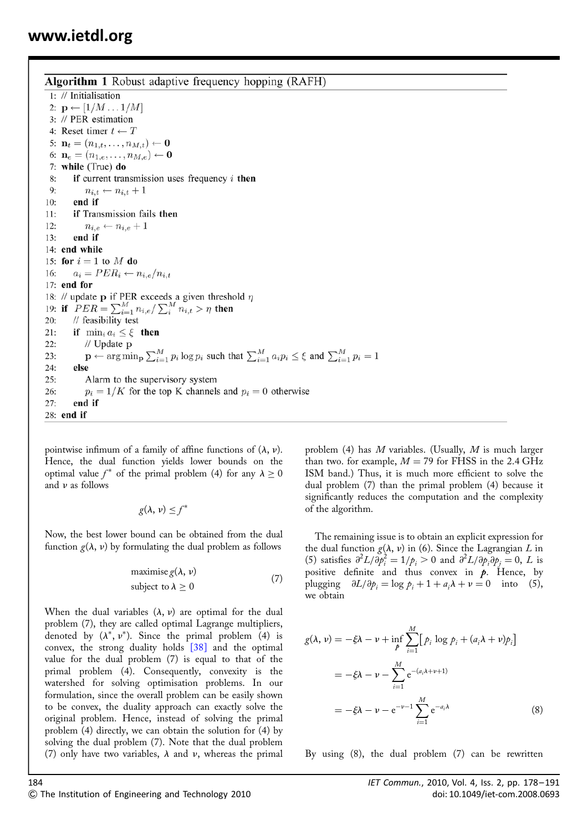### www.ietdl.org

1: // Initialisation 2:  $\mathbf{p} \leftarrow [1/M \dots 1/M]$ 3: // PER estimation 4: Reset timer  $t \leftarrow T$ 5:  $\mathbf{n}_t = (n_{1,t}, \ldots, n_{M,t}) \leftarrow \mathbf{0}$ 6:  $n_e = (n_{1,e}, \ldots, n_{M,e}) \leftarrow 0$ 7: while (True) do if current transmission uses frequency  $i$  then 8: 9:  $n_{i,t} \leftarrow n_{i,t} + 1$  $10:$ end if if Transmission fails then  $11:$  $12:$  $n_{i,e} \leftarrow n_{i,e} + 1$ end if  $13:$ 14: end while 15: for  $i = 1$  to M do  $a_i = PER_i \leftarrow n_{i,e}/n_{i,t}$  $16:$ 17: end for 18: // update p if PER exceeds a given threshold  $\eta$ 19: if  $PER = \sum_{i=1}^{M} n_{i,e} / \sum_{i=1}^{M} n_{i,t} > \eta$  then  $20:$ // feasibility test  $21:$ if  $\min_i a_i \leq \xi$  then  $22:$ // Update p  $\mathbf{p} \leftarrow \arg\min_{\mathbf{p}} \sum_{i=1}^{M} p_i \log p_i$  such that  $\sum_{i=1}^{M} a_i p_i \leq \xi$  and  $\sum_{i=1}^{M} p_i = 1$  $23:$  $24:$ else  $25:$ Alarm to the supervisory system  $p_i = 1/K$  for the top K channels and  $p_i = 0$  otherwise  $26:$ end if  $27:$ 28: end if

**Algorithm 1** Robust adaptive frequency hopping (RAFH)

pointwise infimum of a family of affine functions of  $(\lambda, \nu)$ . Hence, the dual function yields lower bounds on the optimal value  $f^*$  of the primal problem (4) for any  $\lambda \geq 0$ and  $\nu$  as follows

$$
g(\lambda, \nu) \leq f^*
$$

Now, the best lower bound can be obtained from the dual function  $g(\lambda, v)$  by formulating the dual problem as follows

maximize 
$$
g(\lambda, \nu)
$$
  
subject to  $\lambda \ge 0$  (7)

When the dual variables  $(\lambda, \nu)$  are optimal for the dual problem (7), they are called optimal Lagrange multipliers, denoted by  $(\lambda^*, \nu^*)$ . Since the primal problem (4) is convex, the strong duality holds [38] and the optimal value for the dual problem (7) is equal to that of the primal problem (4). Consequently, convexity is the watershed for solving optimisation problems. In our formulation, since the overall problem can be easily shown to be convex, the duality approach can exactly solve the original problem. Hence, instead of solving the primal problem (4) directly, we can obtain the solution for (4) by solving the dual problem (7). Note that the dual problem (7) only have two variables,  $\lambda$  and  $\nu$ , whereas the primal problem (4) has  $M$  variables. (Usually,  $M$  is much larger than two. for example,  $M = 79$  for FHSS in the 2.4 GHz ISM band.) Thus, it is much more efficient to solve the dual problem (7) than the primal problem (4) because it significantly reduces the computation and the complexity of the algorithm.

The remaining issue is to obtain an explicit expression for the dual function  $g(\lambda, v)$  in (6). Since the Lagrangian L in (5) satisfies  $\partial^2 L/\partial p_i^2 = 1/p_i > 0$  and  $\partial^2 L/\partial p_i \partial p_j = 0$ , L is positive definite and thus convex in  $\dot{p}$ . Hence, by plugging  $\partial L/\partial p_i = \log p_i + 1 + a_i \lambda + \nu = 0$  into (5), we obtain

$$
g(\lambda, \nu) = -\xi \lambda - \nu + \inf_{\hat{p}} \sum_{i=1}^{M} [\hat{p}_i \log \hat{p}_i + (a_i \lambda + \nu) \hat{p}_i]
$$
  

$$
= -\xi \lambda - \nu - \sum_{i=1}^{M} e^{-(a_i \lambda + \nu + 1)}
$$
  

$$
= -\xi \lambda - \nu - e^{-\nu - 1} \sum_{i=1}^{M} e^{-a_i \lambda}
$$
(8)

By using (8), the dual problem (7) can be rewritten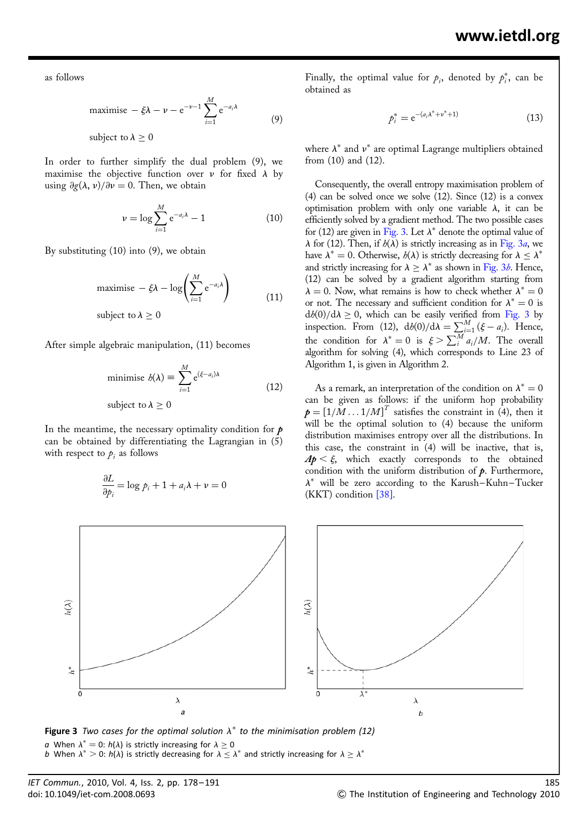as follows

maximise 
$$
-\xi\lambda - \nu - e^{-\nu-1} \sum_{i=1}^{M} e^{-a_i\lambda}
$$
 (9)  
subject to  $\lambda \ge 0$ 

In order to further simplify the dual problem (9), we maximise the objective function over  $\nu$  for fixed  $\lambda$  by using  $\partial g(\lambda, \nu)/\partial \nu = 0$ . Then, we obtain

$$
\nu = \log \sum_{i=1}^{M} e^{-a_i \lambda} - 1 \tag{10}
$$

By substituting (10) into (9), we obtain

$$
\text{maximise } - \xi \lambda - \log \left( \sum_{i=1}^{M} e^{-a_i \lambda} \right) \tag{11}
$$
\n
$$
\text{subject to } \lambda \ge 0
$$

After simple algebraic manipulation, (11) becomes

minimise 
$$
b(\lambda) \equiv \sum_{i=1}^{M} e^{(\xi - a_i)\lambda}
$$
  
subject to  $\lambda \ge 0$  (12)

In the meantime, the necessary optimality condition for  $p$ can be obtained by differentiating the Lagrangian in (5) with respect to  $p_i$  as follows

$$
\begin{array}{c|c}\n\begin{array}{c}\n\lambda \\
\hline\n\end{array}\n\end{array}
$$

$$
\frac{\partial L}{\partial p_i} = \log p_i + 1 + a_i \lambda + v = 0
$$

Finally, the optimal value for  $p_i$ , denoted by  $p_i^*$ , can be obtained as

$$
p_i^* = e^{-(a_i \lambda^* + \nu^* + 1)}
$$
\n(13)

where  $\lambda^*$  and  $\nu^*$  are optimal Lagrange multipliers obtained from (10) and (12).

Consequently, the overall entropy maximisation problem of (4) can be solved once we solve (12). Since (12) is a convex optimisation problem with only one variable  $\lambda$ , it can be efficiently solved by a gradient method. The two possible cases for (12) are given in Fig. 3. Let  $\lambda^*$  denote the optimal value of  $\lambda$  for (12). Then, if  $h(\lambda)$  is strictly increasing as in Fig. 3a, we have  $\lambda^* = 0$ . Otherwise,  $h(\lambda)$  is strictly decreasing for  $\lambda \leq \lambda^*$ and strictly increasing for  $\lambda \geq \lambda^*$  as shown in Fig. 3b. Hence, (12) can be solved by a gradient algorithm starting from  $\lambda = 0$ . Now, what remains is how to check whether  $\lambda^* = 0$ or not. The necessary and sufficient condition for  $\lambda^* = 0$  is  $d\phi(0)/d\lambda \geq 0$ , which can be easily verified from Fig. 3 by inspection. From (12),  $d\phi(t)/d\lambda = \sum_{i=1}^{M} (\xi - a_i)$ . Hence, the condition for  $\lambda^* = 0$  is  $\xi > \sum_{i=1}^{M} a_i/M$ . The overall algorithm for solving (4), which corresponds to Line 23 of Algorithm 1, is given in Algorithm 2.

As a remark, an interpretation of the condition on  $\lambda^* = 0$ can be given as follows: if the uniform hop probability  $\boldsymbol{p} = \left[1/M \dots 1/M\right]^T$  satisfies the constraint in (4), then it will be the optimal solution to (4) because the uniform distribution maximises entropy over all the distributions. In this case, the constraint in (4) will be inactive, that is,  $A p \leq \xi$ , which exactly corresponds to the obtained condition with the uniform distribution of  $p$ . Furthermore,  $\lambda^*$  will be zero according to the Karush–Kuhn–Tucker (KKT) condition [38].

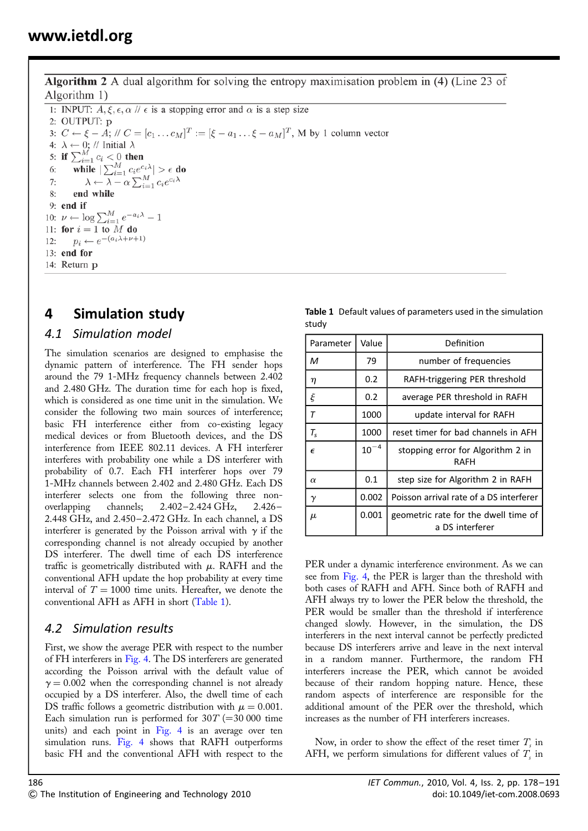# www.ietdl.org

Algorithm 2 A dual algorithm for solving the entropy maximisation problem in (4) (Line 23 of Algorithm 1)

```
1: INPUT: A, \xi, \epsilon, \alpha \text{ // } \epsilon is a stopping error and \alpha is a step size
 2: OUTPUT: p
 3: C \leftarrow \xi - A; // C = [c_1 \dots c_M]^T := [\xi - a_1 \dots \xi - a_M]^T, M by 1 column vector
 4: \lambda \leftarrow 0; // Initial \lambda<br>5: if \sum_{i=1}^{M} c_i < 0 then
          while |\sum_{i=1}^{M} c_i e^{c_i \lambda}| > \epsilon do
 6:
               \lambda \leftarrow \lambda - \alpha \sum_{i=1}^{M} c_i e^{c_i \lambda}7:end while
 8:9: end if
10: \nu \leftarrow \log \sum_{i=1}^{M} e^{-a_i \lambda} - 111: for i = 1 to M do
          p_i \leftarrow e^{-(a_i\lambda + \nu + 1)}12:13: end for
14: Return p
```
### 4 Simulation study

### 4.1 Simulation model

The simulation scenarios are designed to emphasise the dynamic pattern of interference. The FH sender hops around the 79 1-MHz frequency channels between 2.402 and 2.480 GHz. The duration time for each hop is fixed, which is considered as one time unit in the simulation. We consider the following two main sources of interference; basic FH interference either from co-existing legacy medical devices or from Bluetooth devices, and the DS interference from IEEE 802.11 devices. A FH interferer interferes with probability one while a DS interferer with probability of 0.7. Each FH interferer hops over 79 1-MHz channels between 2.402 and 2.480 GHz. Each DS interferer selects one from the following three nonoverlapping channels;  $2.402 - 2.424 \text{ GHz}$ ,  $2.426 -$ 2.448 GHz, and 2.450-2.472 GHz. In each channel, a DS interferer is generated by the Poisson arrival with  $\gamma$  if the corresponding channel is not already occupied by another DS interferer. The dwell time of each DS interference traffic is geometrically distributed with  $\mu$ . RAFH and the conventional AFH update the hop probability at every time interval of  $T = 1000$  time units. Hereafter, we denote the conventional AFH as AFH in short (Table 1).

#### 4.2 Simulation results

First, we show the average PER with respect to the number of FH interferers in Fig. 4. The DS interferers are generated according the Poisson arrival with the default value of  $\gamma = 0.002$  when the corresponding channel is not already occupied by a DS interferer. Also, the dwell time of each DS traffic follows a geometric distribution with  $\mu = 0.001$ . Each simulation run is performed for  $30T$  (=30 000 time units) and each point in Fig. 4 is an average over ten simulation runs. Fig. 4 shows that RAFH outperforms basic FH and the conventional AFH with respect to the

Table 1 Default values of parameters used in the simulation study

| Parameter  | Value     | Definition                                              |
|------------|-----------|---------------------------------------------------------|
| М          | 79        | number of frequencies                                   |
| η          | 0.2       | RAFH-triggering PER threshold                           |
| ξ          | 0.2       | average PER threshold in RAFH                           |
| T          | 1000      | update interval for RAFH                                |
| $T_s$      | 1000      | reset timer for bad channels in AFH                     |
| $\epsilon$ | $10^{-4}$ | stopping error for Algorithm 2 in<br>RAFH               |
| $\alpha$   | 0.1       | step size for Algorithm 2 in RAFH                       |
| γ          | 0.002     | Poisson arrival rate of a DS interferer                 |
| μ          | 0.001     | geometric rate for the dwell time of<br>a DS interferer |

PER under a dynamic interference environment. As we can see from Fig. 4, the PER is larger than the threshold with both cases of RAFH and AFH. Since both of RAFH and AFH always try to lower the PER below the threshold, the PER would be smaller than the threshold if interference changed slowly. However, in the simulation, the DS interferers in the next interval cannot be perfectly predicted because DS interferers arrive and leave in the next interval in a random manner. Furthermore, the random FH interferers increase the PER, which cannot be avoided because of their random hopping nature. Hence, these random aspects of interference are responsible for the additional amount of the PER over the threshold, which increases as the number of FH interferers increases.

Now, in order to show the effect of the reset timer  $T_s$  in AFH, we perform simulations for different values of  $T<sub>s</sub>$  in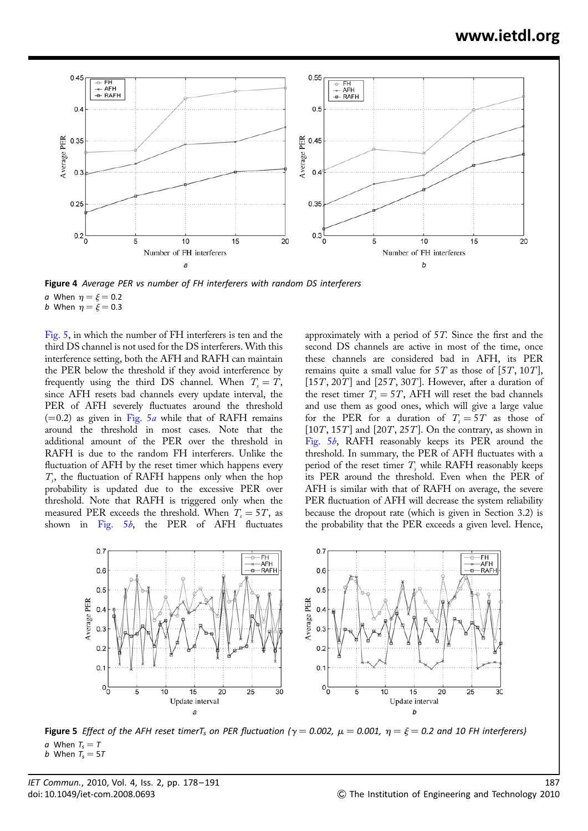

Figure 4 Average PER vs number of FH interferers with random DS interferers a When  $n = \xi = 0.2$ b When  $\eta = \xi = 0.3$ 

Fig. 5, in which the number of FH interferers is ten and the third DS channel is not used for the DS interferers. With this interference setting, both the AFH and RAFH can maintain the PER below the threshold if they avoid interference by frequently using the third DS channel. When  $T_s = T$ , since AFH resets bad channels every update interval, the PER of AFH severely fluctuates around the threshold  $(=0.2)$  as given in Fig. 5*a* while that of RAFH remains around the threshold in most cases. Note that the additional amount of the PER over the threshold in RAFH is due to the random FH interferers. Unlike the fluctuation of AFH by the reset timer which happens every  $T<sub>o</sub>$ , the fluctuation of RAFH happens only when the hop probability is updated due to the excessive PER over threshold. Note that RAFH is triggered only when the measured PER exceeds the threshold. When  $T<sub>s</sub> = 5T$ , as shown in Fig.  $5b$ , the PER of AFH fluctuates

approximately with a period of 5T. Since the first and the second DS channels are active in most of the time, once these channels are considered bad in AFH, its PER remains quite a small value for  $5T$  as those of  $[5T, 10T]$ ,  $[15T, 20T]$  and  $[25T, 30T]$ . However, after a duration of the reset timer  $T<sub>s</sub> = 5T$ , AFH will reset the bad channels and use them as good ones, which will give a large value for the PER for a duration of  $T<sub>s</sub> = 5T$  as those of  $[10T, 15T]$  and  $[20T, 25T]$ . On the contrary, as shown in Fig. 5b, RAFH reasonably keeps its PER around the threshold. In summary, the PER of AFH fluctuates with a period of the reset timer  $T_s$  while RAFH reasonably keeps its PER around the threshold. Even when the PER of AFH is similar with that of RAFH on average, the severe PER fluctuation of AFH will decrease the system reliability because the dropout rate (which is given in Section 3.2) is the probability that the PER exceeds a given level. Hence,



Figure 5 Effect of the AFH reset timerT, on PER fluctuation ( $\gamma = 0.002$ ,  $\mu = 0.001$ ,  $\eta = \xi = 0.2$  and 10 FH interferers) a When  $T_s = T$ 

b When  $\overline{T_s} = 5T$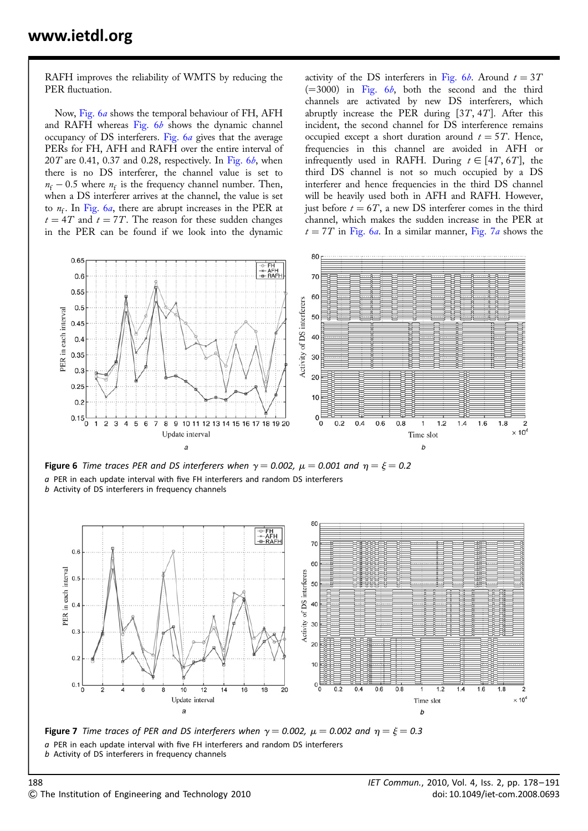RAFH improves the reliability of WMTS by reducing the PER fluctuation.

Now, Fig. 6a shows the temporal behaviour of FH, AFH and RAFH whereas Fig.  $6b$  shows the dynamic channel occupancy of DS interferers. Fig. 6a gives that the average PERs for FH, AFH and RAFH over the entire interval of  $20T$  are 0.41, 0.37 and 0.28, respectively. In Fig. 6b, when there is no DS interferer, the channel value is set to  $n_f$  – 0.5 where  $n_f$  is the frequency channel number. Then, when a DS interferer arrives at the channel, the value is set to  $n_f$ . In Fig. 6a, there are abrupt increases in the PER at  $t = 4T$  and  $t = 7T$ . The reason for these sudden changes in the PER can be found if we look into the dynamic

activity of the DS interferers in Fig. 6b. Around  $t = 3T$  $(=3000)$  in Fig. 6b, both the second and the third channels are activated by new DS interferers, which abruptly increase the PER during  $[3T, 4T]$ . After this incident, the second channel for DS interference remains occupied except a short duration around  $t = 5T$ . Hence, frequencies in this channel are avoided in AFH or infrequently used in RAFH. During  $t \in [4T, 6T]$ , the third DS channel is not so much occupied by a DS interferer and hence frequencies in the third DS channel will be heavily used both in AFH and RAFH. However, just before  $t = 6T$ , a new DS interferer comes in the third channel, which makes the sudden increase in the PER at  $t = 7T$  in Fig. 6a. In a similar manner, Fig. 7a shows the



**Figure 6** Time traces PER and DS interferers when  $\gamma = 0.002$ ,  $\mu = 0.001$  and  $\eta = \xi = 0.2$  $a$  PER in each update interval with five FH interferers and random DS interferers b Activity of DS interferers in frequency channels



**Figure 7** Time traces of PER and DS interferers when  $\gamma = 0.002$ ,  $\mu = 0.002$  and  $\eta = \xi = 0.3$  $a$  PER in each update interval with five FH interferers and random DS interferers b Activity of DS interferers in frequency channels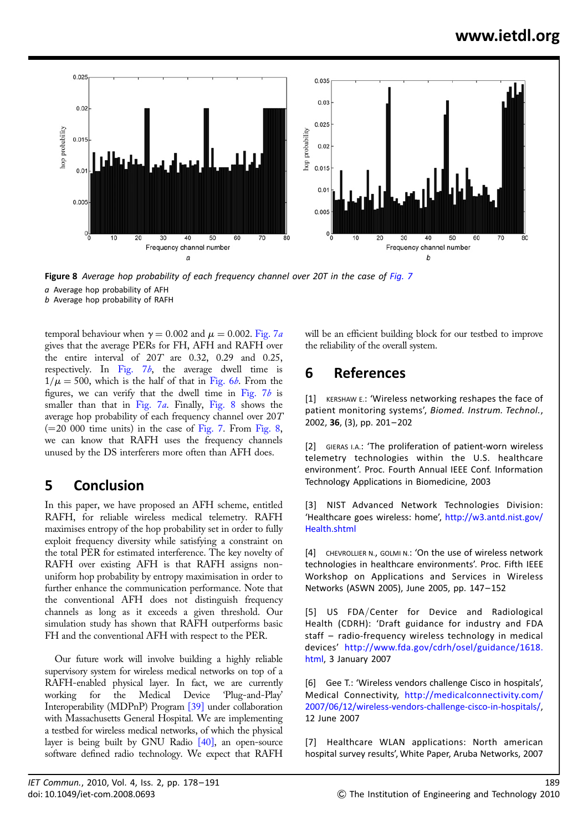

Figure 8 Average hop probability of each frequency channel over 20T in the case of Fig. 7 a Average hop probability of AFH b Average hop probability of RAFH

temporal behaviour when  $\gamma = 0.002$  and  $\mu = 0.002$ . Fig. 7a gives that the average PERs for FH, AFH and RAFH over the entire interval of 20T are 0.32, 0.29 and 0.25, respectively. In Fig.  $7b$ , the average dwell time is  $1/\mu = 500$ , which is the half of that in Fig. 6b. From the figures, we can verify that the dwell time in Fig.  $7b$  is smaller than that in Fig. 7a. Finally, Fig. 8 shows the average hop probability of each frequency channel over 20T  $(=20,000)$  time units) in the case of Fig. 7. From Fig. 8, we can know that RAFH uses the frequency channels unused by the DS interferers more often than AFH does.

### 5 Conclusion

In this paper, we have proposed an AFH scheme, entitled RAFH, for reliable wireless medical telemetry. RAFH maximises entropy of the hop probability set in order to fully exploit frequency diversity while satisfying a constraint on the total PER for estimated interference. The key novelty of RAFH over existing AFH is that RAFH assigns nonuniform hop probability by entropy maximisation in order to further enhance the communication performance. Note that the conventional AFH does not distinguish frequency channels as long as it exceeds a given threshold. Our simulation study has shown that RAFH outperforms basic FH and the conventional AFH with respect to the PER.

Our future work will involve building a highly reliable supervisory system for wireless medical networks on top of a RAFH-enabled physical layer. In fact, we are currently working for the Medical Device 'Plug-and-Play' Interoperability (MDPnP) Program [39] under collaboration with Massachusetts General Hospital. We are implementing a testbed for wireless medical networks, of which the physical layer is being built by GNU Radio [40], an open-source software defined radio technology. We expect that RAFH will be an efficient building block for our testbed to improve the reliability of the overall system.

### 6 References

[1] KERSHAW E.: 'Wireless networking reshapes the face of patient monitoring systems', Biomed. Instrum. Technol., 2002, 36, (3), pp. 201– 202

[2] GIERAS I.A.: 'The proliferation of patient-worn wireless telemetry technologies within the U.S. healthcare environment'. Proc. Fourth Annual IEEE Conf. Information Technology Applications in Biomedicine, 2003

[3] NIST Advanced Network Technologies Division: 'Healthcare goes wireless: home', http://w3.antd.nist.gov/ Health.shtml

[4] CHEVROLLIER N., GOLMI N.: 'On the use of wireless network technologies in healthcare environments'. Proc. Fifth IEEE Workshop on Applications and Services in Wireless Networks (ASWN 2005), June 2005, pp. 147– 152

[5] US FDA/Center for Device and Radiological Health (CDRH): 'Draft guidance for industry and FDA staff – radio-frequency wireless technology in medical devices' http://www.fda.gov/cdrh/osel/guidance/1618. html, 3 January 2007

[6] Gee T.: 'Wireless vendors challenge Cisco in hospitals', Medical Connectivity, http://medicalconnectivity.com/ 2007/06/12/wireless-vendors-challenge-cisco-in-hospitals/, 12 June 2007

[7] Healthcare WLAN applications: North american hospital survey results', White Paper, Aruba Networks, 2007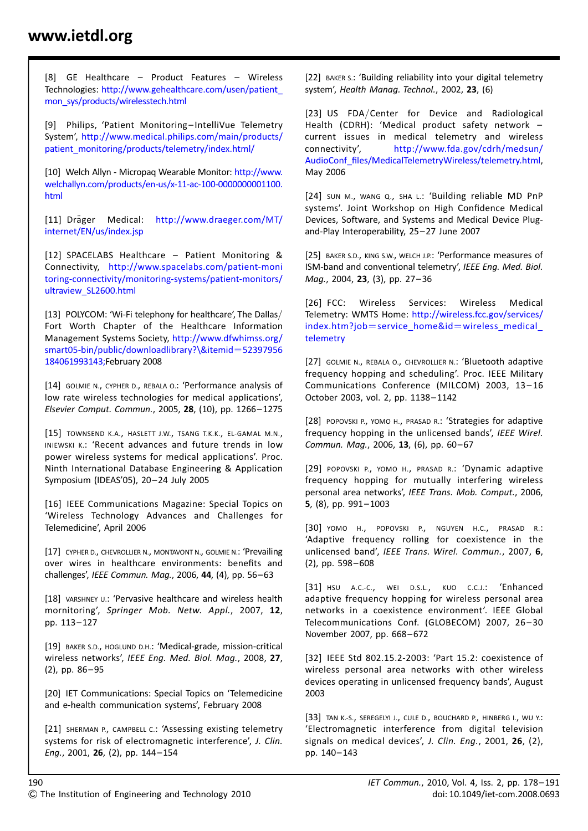# www.ietdl.org

[8] GE Healthcare – Product Features – Wireless Technologies: http://www.gehealthcare.com/usen/patient\_ mon\_sys/products/wirelesstech.html

[9] Philips, 'Patient Monitoring-IntelliVue Telemetry System', http://www.medical.philips.com/main/products/ patient\_monitoring/products/telemetry/index.html/

[10] Welch Allyn - Micropaq Wearable Monitor: http://www. welchallyn.com/products/en-us/x-11-ac-100-0000000001100. html

[11] Dräger Medical: http://www.draeger.com/MT/ internet/EN/us/index.jsp

[12] SPACELABS Healthcare – Patient Monitoring & Connectivity, http://www.spacelabs.com/patient-moni toring-connectivity/monitoring-systems/patient-monitors/ ultraview\_SL2600.html

[13] POLYCOM: 'Wi-Fi telephony for healthcare', The Dallas/ Fort Worth Chapter of the Healthcare Information Management Systems Society, http://www.dfwhimss.org/ smart05-bin/public/downloadlibrary?\&itemid=52397956 184061993143;February 2008

[14] GOLMIE N., CYPHER D., REBALA O.: 'Performance analysis of low rate wireless technologies for medical applications', Elsevier Comput. Commun., 2005, 28, (10), pp. 1266– 1275

[15] TOWNSEND K.A., HASLETT J.W., TSANG T.K.K., EL-GAMAL M.N., INIEWSKI K.: 'Recent advances and future trends in low power wireless systems for medical applications'. Proc. Ninth International Database Engineering & Application Symposium (IDEAS'05), 20-24 July 2005

[16] IEEE Communications Magazine: Special Topics on 'Wireless Technology Advances and Challenges for Telemedicine', April 2006

[17] CYPHER D., CHEVROLLIER N., MONTAVONT N., GOLMIE N.: 'Prevailing over wires in healthcare environments: benefits and challenges', IEEE Commun. Mag., 2006, 44, (4), pp. 56–63

[18] VARSHNEY U.: 'Pervasive healthcare and wireless health mornitoring', Springer Mob. Netw. Appl., 2007, 12, pp. 113– 127

[19] BAKER S.D., HOGLUND D.H.: 'Medical-grade, mission-critical wireless networks', IEEE Eng. Med. Biol. Mag., 2008, 27, (2), pp. 86– 95

[20] IET Communications: Special Topics on 'Telemedicine and e-health communication systems', February 2008

[21] SHERMAN P., CAMPBELL C.: 'Assessing existing telemetry systems for risk of electromagnetic interference', J. Clin. Eng., 2001, 26, (2), pp. 144– 154

[22] BAKER S.: 'Building reliability into your digital telemetry system', Health Manag. Technol., 2002, 23, (6)

[23] US FDA/Center for Device and Radiological Health (CDRH): 'Medical product safety network – current issues in medical telemetry and wireless connectivity', http://www.fda.gov/cdrh/medsun/ AudioConf\_files/MedicalTelemetryWireless/telemetry.html, May 2006

[24] SUN M., WANG Q., SHA L.: 'Building reliable MD PnP systems'. Joint Workshop on High Confidence Medical Devices, Software, and Systems and Medical Device Plugand-Play Interoperability, 25– 27 June 2007

[25] BAKER S.D., KING S.W., WELCH J.P.: 'Performance measures of ISM-band and conventional telemetry', IEEE Eng. Med. Biol. Mag., 2004, 23, (3), pp. 27-36

[26] FCC: Wireless Services: Wireless Medical Telemetry: WMTS Home: http://wireless.fcc.gov/services/  $index.htm?job = service home@id = wireless medical$ telemetry

[27] GOLMIE N., REBALA O., CHEVROLLIER N.: 'Bluetooth adaptive frequency hopping and scheduling'. Proc. IEEE Military Communications Conference (MILCOM) 2003, 13 – 16 October 2003, vol. 2, pp. 1138– 1142

[28] POPOVSKI P., YOMO H., PRASAD R.: 'Strategies for adaptive frequency hopping in the unlicensed bands', IEEE Wirel. Commun. Mag., 2006, 13, (6), pp.  $60-67$ 

[29] POPOVSKI P., YOMO H., PRASAD R.: 'Dynamic adaptive frequency hopping for mutually interfering wireless personal area networks', IEEE Trans. Mob. Comput., 2006, 5, (8), pp. 991– 1003

[30] YOMO H., POPOVSKI P., NGUYEN H.C., PRASAD R.: 'Adaptive frequency rolling for coexistence in the unlicensed band', IEEE Trans. Wirel. Commun., 2007, 6, (2), pp. 598– 608

[31] HSU A.C.-C., WEI D.S.L., KUO C.C.J.: 'Enhanced adaptive frequency hopping for wireless personal area networks in a coexistence environment'. IEEE Global Telecommunications Conf. (GLOBECOM) 2007, 26-30 November 2007, pp. 668-672

[32] IEEE Std 802.15.2-2003: 'Part 15.2: coexistence of wireless personal area networks with other wireless devices operating in unlicensed frequency bands', August 2003

[33] TAN K.-S., SEREGELYI J., CULE D., BOUCHARD P., HINBERG I., WU Y.: 'Electromagnetic interference from digital television signals on medical devices', J. Clin. Eng., 2001, 26, (2), pp. 140– 143